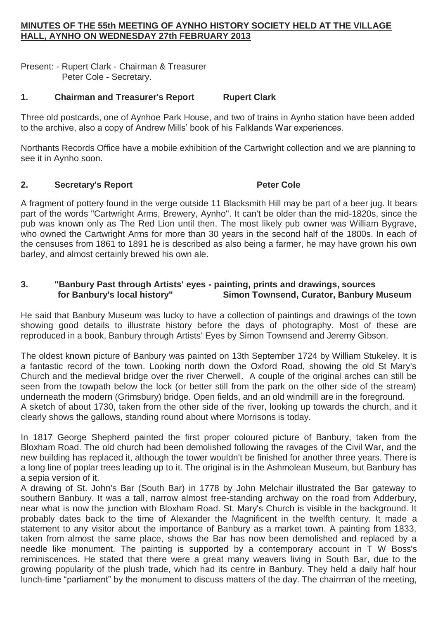## **MINUTES OF THE 55th MEETING OF AYNHO HISTORY SOCIETY HELD AT THE VILLAGE HALL, AYNHO ON WEDNESDAY 27th FEBRUARY 2013**

Present: - Rupert Clark - Chairman & Treasurer Peter Cole - Secretary.

# **1. Chairman and Treasurer's Report Rupert Clark**

Three old postcards, one of Aynhoe Park House, and two of trains in Aynho station have been added to the archive, also a copy of Andrew Mills' book of his Falklands War experiences.

Northants Records Office have a mobile exhibition of the Cartwright collection and we are planning to see it in Aynho soon.

## **2. Secretary's Report Peter Cole**

A fragment of pottery found in the verge outside 11 Blacksmith Hill may be part of a beer jug. It bears part of the words "Cartwright Arms, Brewery, Aynho". It can't be older than the mid-1820s, since the pub was known only as The Red Lion until then. The most likely pub owner was William Bygrave, who owned the Cartwright Arms for more than 30 years in the second half of the 1800s. In each of the censuses from 1861 to 1891 he is described as also being a farmer, he may have grown his own barley, and almost certainly brewed his own ale.

## **3. "Banbury Past through Artists' eyes - painting, prints and drawings, sources for Banbury's local history" Simon Townsend, Curator, Banbury Museum**

He said that Banbury Museum was lucky to have a collection of paintings and drawings of the town showing good details to illustrate history before the days of photography. Most of these are reproduced in a book, Banbury through Artists' Eyes by Simon Townsend and Jeremy Gibson.

The oldest known picture of Banbury was painted on 13th September 1724 by William Stukeley. It is a fantastic record of the town. Looking north down the Oxford Road, showing the old St Mary's Church and the medieval bridge over the river Cherwell. A couple of the original arches can still be seen from the towpath below the lock (or better still from the park on the other side of the stream) underneath the modern (Grimsbury) bridge. Open fields, and an old windmill are in the foreground. A sketch of about 1730, taken from the other side of the river, looking up towards the church, and it clearly shows the gallows, standing round about where Morrisons is today.

In 1817 George Shepherd painted the first proper coloured picture of Banbury, taken from the Bloxham Road. The old church had been demolished following the ravages of the Civil War, and the new building has replaced it, although the tower wouldn't be finished for another three years. There is a long line of poplar trees leading up to it. The original is in the Ashmolean Museum, but Banbury has a sepia version of it.

A drawing of St. John's Bar (South Bar) in 1778 by John Melchair illustrated the Bar gateway to southern Banbury. It was a tall, narrow almost free-standing archway on the road from Adderbury, near what is now the junction with Bloxham Road. St. Mary's Church is visible in the background. It probably dates back to the time of Alexander the Magnificent in the twelfth century. It made a statement to any visitor about the importance of Banbury as a market town. A painting from 1833, taken from almost the same place, shows the Bar has now been demolished and replaced by a needle like monument. The painting is supported by a contemporary account in T W Boss's reminiscences. He stated that there were a great many weavers living in South Bar, due to the growing popularity of the plush trade, which had its centre in Banbury. They held a daily half hour lunch-time "parliament" by the monument to discuss matters of the day. The chairman of the meeting,